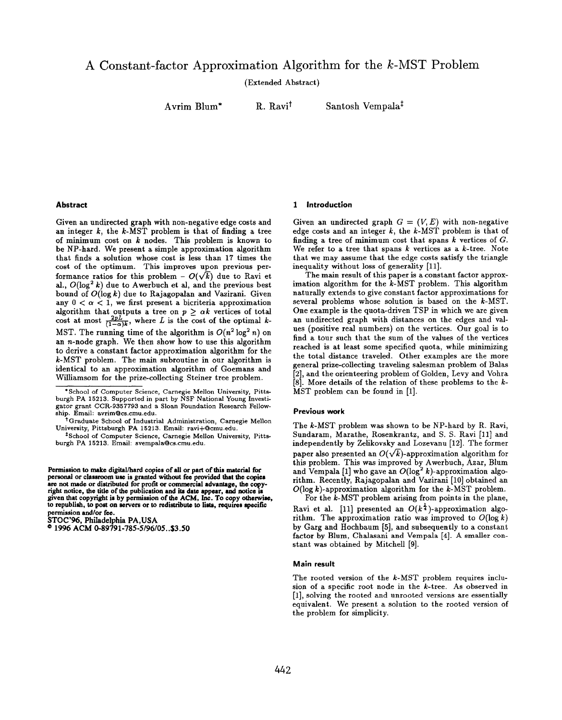(Extended Abstract)

Avrim Blum"

R. Ravit

Santosh Vempala\*

# Abstract

Given an undirected graph with non-negative edge costs and an integer  $k$ , the  $k$ -MST problem is that of finding a tree of minimum cost on  $k$  nodes. This problem is known to be NP-hard. We present a simple approximation algorithm that finds a solution whose cost is less than 17 times the cost of the optimum. This improves upon previous performance ratios for this problem –  $O(\sqrt{k})$  due to Ravi et al.,  $O(\log^2 k)$  due to Awerbuch et al, and the previous best bound of  $O(\log k)$  due to Rajagopalan and Vazirani. Given any  $0 < \alpha < 1$ , we first present a bicriteria approximation algorithm that outputs a tree on  $p \geq \alpha k$  vertices of total cost at most  $\frac{2pL}{(1-\alpha)k}$ , where L is the cost of the optimal k-MST. The running time of the algorithm is  $O(n^2 \log^2 n)$  on an n-node graph. We then show how to use this algorithm to derive a constant factor approximation algorithm for the k-MST problem. The main subroutine in our algorithm is identical to an approximation algorithm of Goemans and Williamson for the prize-collecting Steiner tree problem.

Permission to make digital/hard copies of all or part of this material for personal or classroom use is granted without fee provided that the copies are not made or distributed for profit or commercial advantage, the copyright notice, the title of the publication and ita date appear, and notice la given that copyright ia by permission of the ACM, he. To copy otherwise, to republish, to post on servers or to redistribute to lists, requires specific permission and/or fee.

STOC'96, Philadelphia PA, USA

<sup>®</sup> 1996 ACM 0-89791-785-5/96/05..\$3.50

### 1 introduction

Given an undirected graph  $G = (V, E)$  with non-negative edge costs and an integer  $k$ , the  $k$ -MST problem is that of finding a tree of minimum cost that spans  $k$  vertices of  $G$ . We refer to a tree that spans  $k$  vertices as a  $k$ -tree. Note that we may aasume that the edge costs satisfy the triangle inequality without loss of generality [11].

The main result of this paper is a constant factor approximation algorithm for the k-MST problem. This algorithm naturally extends to give constant factor approximations for several problems whose solution is based on the k-MST. One example is the quota-driven TSP in which we are given an undirected graph with distances on the edges and values (positive real numbers) on the vertices. Our goal is to find a tour such that the sum of the values of the vertices reached is at least some specified quota, while minimizing the total distance traveled. Other examples are the more general prize-collecting traveling salesman problem of Balas [2], and the orienteering problem of Golden, Levy and Vohra [8]. More details of the relation of these problems to the  $k$ -MST problem can be found in [1].

### Previous work

The k-MST problem waa shown to be NP-hard by R. Ravi, Sundaram, Marathe, Rosenkrantz, and S. S. Ravi [11] and independently by Zelikovsky and Lozevanu [12]. The former paper also presented an  $O(\sqrt{k})$ -approximation algorithm for this problem. This was improved by Awerbuch, Azar, Blum and Vempala [1] who gave an  $O(\log^2 k)$ -approximation algorithm. Recently, Rajagopalan and Vazirani [10] obtained an  $O(\log k)$ -approximation algorithm for the k-MST problem. For the  $k$ -MST problem arising from points in the plane,

Ravi et al. [11] presented an  $O(k^{\frac{1}{4}})$ -approximation algorithm. The approximation ratio was improved to  $O(\log k)$ by Garg and Hochbaum [5], and subsequently to a constant factor by Blum, Chalasani and Vempala [4]. A smaller constant was obtained by Mitchell [9].

### Main result

The rooted version of the k-MST problem requires inclusion of a specific root node in the k-tree. As observed in [1], solving the rooted and unrooted versions are essentially equivalent. We present a solution to the rooted version of the problem for simplicity.

<sup>\*</sup> School of Computer Science, Carnegie Mellon University, Pittsburgh PA 15213. Supported in part by NSF National Young Investigator grant CCR-9357793 and a Sloan Foundation Research Fellowship. Em ail: avrim@cs.cmu .edu.

<sup>\*</sup> Graduate School Of Industrial Administration, Carnegie Mellon University, Pittsburgh PA 15213. Em ail: ravi+@cmu .edu.

<sup>~</sup> School of Computer Science, Carnegie Mellon university, Pittsburgh PA 15213. Em ail: svempala@cs.cmu .edu.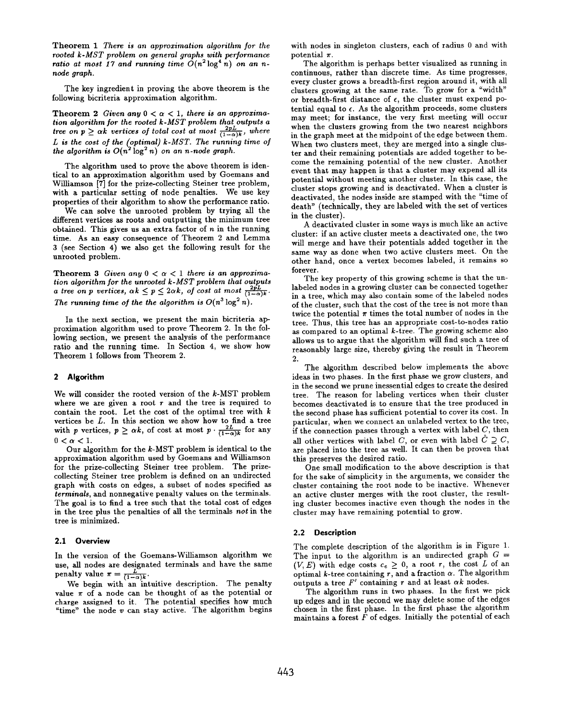Theorem 1 There is an approximation algorithm for the rooted k-MST problem on geneml graphs with performance ratio at most 17 and running time  $O(n^2 \log^4 n)$  on an nnode graph.

The key ingredient in proving the above theorem is the following bicriteria approximation algorithm.

Theorem 2 Given any  $0 < \alpha < 1$ , there is an approximation algorithm for the rooted  $k$ -MST problem that outputs a tree on  $p \ge \alpha k$  vertices of total cost at most  $\frac{2pL}{(1-\alpha)k}$ , where L is the cost of the (optimal) k-MST. The running time  $o_i$ the algorithm is  $O(n^2 \log^2 n)$  on an n-node grap

The algorithm used to prove the above theorem is identical to an approximation algorithm used by Goemans and Williamson [7] for the prize-collecting Steiner tree problem, with a particular setting of node penalties. We use key properties of their algorithm to show the performance ratio.

We can solve the unrooted problem by trying all the different vertices as roots and outputting the minimum tree obtained. This gives us an extra factor of  $n$  in the running time. As an easy consequence of Theorem 2 and Lemma 3 (see Section 4) we also get the following result for the unrooted problem.

Theorem 3 Given any  $0 < \alpha < 1$  there is an approximation algorithm for the unrooted  $k$ -MST problem that outputs a tree on p vertices,  $\alpha k \leq p \leq 2\alpha k$ , of cost at most  $\frac{2pL}{(1-\alpha)k}$ . The running time of the the algorithm is  $O(n^3 \log^2 n)$ .

In the next section, we present the main bicriteria approximation algorithm used to prove Theorem 2. In the following section, we present the analysis of the performance ratio and the running time. In Section 4, we show how Theorem 1 follows from Theorem 2.

### 2 Algorithm

We will consider the rooted version of the k-MST problem where we are given a root  $r$  and the tree is required to contain the root. Let the cost of the optimal tree with  $k$ vertices be  $L$ . In this section we show how to find a tree with p vertices,  $p \ge \alpha k$ , of cost at most  $p \cdot \frac{\mu}{(1-\alpha)k}$  for any  $0 < \alpha < 1$ .

Our algorithm for the k-MST problem is identical to the approximation algorithm used by Goemans and Williamson for the prize-collecting Steiner tree problem. The prizecollecting Steiner tree problem is defined on an undirected graph with costs on edges, a subset of nodes specified as terminals, and nonnegative penalty values on the terminals. The goal is to find a tree such that the total cost of edges in the tree plus the penalties of all the terminals not in the tree is minimized.

### 2.1 Overview

In the version of the Goemans-Williamson algorithm we use, all nodes are designated terminals and have the same penalty value  $\pi = \frac{1}{75}$ 

We begin with an intuitive description. The penalty value  $\pi$  of a node can be thought of as the potential or charge assigned to it. The potential specifies how much "time" the node  $v$  can stay active. The algorithm begins with nodes in singleton clusters, each of radius O and with potential  $\pi$ .

The algorithm is perhaps better visualized as running in continuous, rather than discrete time, As time progresses, every cluster grows a breadth-first region around it, with all clusters growing at the same rate. To grow for a "width" or breadth-first distance of  $\epsilon$ , the cluster must expend potential equal to  $\epsilon$ . As the algorithm proceeds, some clusters may meet; for instance, the very first meeting will occur when the clusters growing from the two nearest neighbors in the graph meet at the midpoint of the edge between them. When two clusters meet, they are merged into a single cluster and their remaining potentials are added together to become the remaining potential of the new cluster. Another event that may happen is that a cluster may expend all its potential without meeting another cluster. In this case, the cluster stops growing and is deactivated. When a cluster is deactivated, the nodes inside are stamped with the "time of death" (technically, they are labeled with the set of vertices in the cluster).

A deactivated cluster in some ways is much like an active cluster: if an active cluster meets a deactivated one, the two will merge and have their potentials added together in the same way as done when two active clusters meet. On the other hand, once a vertex becomes labeled, it remains so forever.

The key property of this growing scheme is that the unlabeled nodes in a growing cluster can be connected together in a tree, which may also contain some of the labeled nodes of the cluster, such that the cost of the tree is not more than twice the potential  $\pi$  times the total number of nodes in the tree. Thus, this tree has an appropriate cost-to-nodes ratio as compared to an optimal  $k$ -tree. The growing scheme also allows us to argue that the algorithm will find such a tree of reasonably large size, thereby giving the result in Theorem  $\overline{c}$ 

The algorithm described below implements the above ideas in two phases. In the first phase we grow clusters, and in the second we prune inessential edges to create the desired tree. The reason for labeling vertices when their cluster becomes deactivated is to ensure that the tree produced in the second phase has sufficient potential to cover its cost. In particular, when we connect an unlabeled vertex to the tree, if the connection passes through a vertex with label  $C$ , then all other vertices with label C, or even with label  $\hat{C} \supseteq C$ , are placed into the tree as well. It can then be proven that this preserves the desired ratio.

One small modification to the above description is that for the sake of simplicity in the arguments, we consider the cluster containing the root node to be inactive. Whenever an active cluster merges with the root cluster, the resulting cluster becomes inactive even though the nodes in the cluster may have remaining potential to grow.

### 2.2 Description

The complete description of the algorithm is in Figure 1. The input to the algorithm is an undirected graph  $G =$  $(V, E)$  with edge costs  $c_e \geq 0$ , a root  $r$ , the cost  $L$  of an optimal k-tree containing  $r$ , and a fraction  $\alpha$ . The algorithm outputs a tree  $F'$  containing r and at least  $\alpha k$  nodes.

The algorithm runs in two phases. In the first we pick up edges and in the second we may delete some of the edges chosen in the first phase. In the first phase the algorithm maintains a forest  $F$  of edges. Initially the potential of each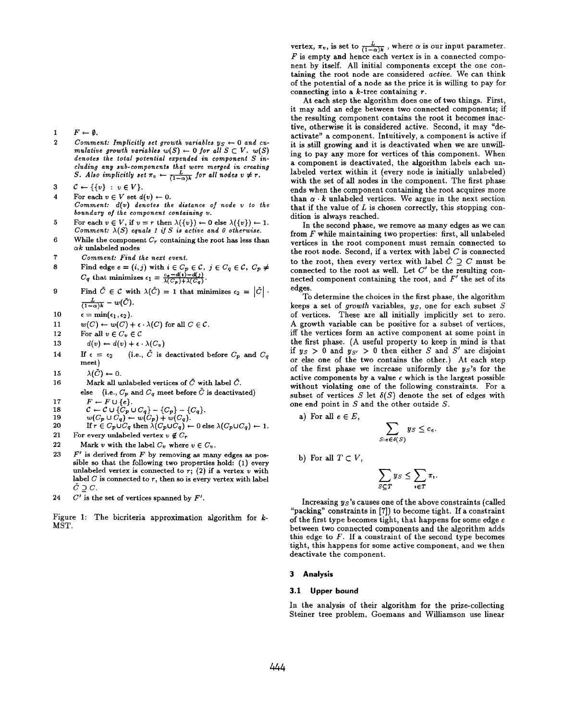1  $F \leftarrow \emptyset$ .

- 2 Comment: Implicitly set growth variables  $y_S \leftarrow 0$  and cumulative growth variables  $w(S) \leftarrow 0$  for all  $S \subset V$ .  $w(S)$  denotes the total potential expended in component S indenotes tie total potential &pended 'in component S ;n~ cluaing any sub-components that were merged in creating  $S$ . Also implicitly set  $\pi_v \leftarrow \frac{L}{\{1-\alpha\}k}$  for all nodes  $v \neq r$ .
- 3  $C \leftarrow \{\{v\}: v \in V\}.$

4 For each  $v \in V$  set  $d(v) \leftarrow 0$ . Comment:  $d(v)$  denotes the distance of node  $v$  to the boundary of the component containing v.

- 5 For each  $v \in V$ , if  $v = r$  then  $\lambda({v}) \leftarrow 0$  else  $\lambda({v}) \leftarrow 1$ . Comment:  $\lambda(S)$  equals 1 if S is active and 0 otherwise.
- 6 While the component  $C_r$  containing the root has less than  $\alpha$ k unlabeled nodes
- 7 Comment: Find the next event.
- 8 Find edge  $e \equiv (i, j)$  with  $i \in C_p \in C$ ,  $j \in C_q \in C$ ,  $C_p \neq$  $C_q$  that minimizes  $\epsilon_1 = \frac{C}{\lambda(C_p) + \lambda(C_q)}$
- 9 Find  $\tilde{C} \in \mathcal{C}$  with  $\lambda(\tilde{C}) = 1$  that minimizes  $\epsilon_2 = |\tilde{C}|$ .  $\frac{L}{(1-\alpha)k} - w(\bar{C}).$
- 10  $\epsilon = \min(\epsilon_1,\epsilon_2).$
- 11  $w(C) \leftarrow w(C) + \epsilon \cdot \lambda(C)$  for all  $C \in \mathcal{C}$ .
- 12 For all  $v\in C_v\in \mathcal{C}$
- 13  $d(v) \leftarrow d(v) + \epsilon \cdot \lambda(C_v)$
- 14 If  $\epsilon = \epsilon_2$  (i.e.,  $\tilde{C}$  is deactivated before  $C_p$  and  $C_q$ meet )
- 15  $\lambda(\tilde{C}) \leftarrow 0.$
- 16 Mark all unlabeled vertices of  $\tilde{C}$  with label  $\tilde{C}$ . else (i.e.,  $C_p$  and  $C_q$  meet before  $\tilde{C}$  is deactivated)
- 17  $F \leftarrow F \cup \{e\}.$
- 18  $C \leftarrow C \cup \{C_p \cup C_q\} - \{C_p\} - \{C_q\}.$

$$
19 \t w(C_p \cup C_q) \leftarrow w(C_p) + w(C_q).
$$

20 If 
$$
r \in C_p \cup C_q
$$
 then  $\lambda(C_p \cup C_q) \leftarrow 0$  else  $\lambda(C_p \cup C_q) \leftarrow 1$ .

- 21 For every unlabeled vertex  $v \notin C_r$
- 22 Mark v with the label  $C_v$  where  $v \in C_v$ .
- 23  $F'$  is derived from  $F$  by removing as many edges as possible so that the following two properties hold: (1) every unlabeled vertex is connected to  $r$ ; (2) if a vertex  $v$  with label  $C$  is connected to  $r$ , then so is every vertex with label  $\hat{C}\supseteq C.$
- 24  $C'$  is the set of vertices spanned by  $F'$ .

Figure 1: The bicriteria approximation algorithm for  $k$ -MST.

vertex,  $\pi_v$ , is set to  $\frac{L}{(1-\alpha)k}$ , where  $\alpha$  is our input parameter.  $F$  is empty and hence each vertex is in a connected component by itself. All initial components except the one containing the root node are considered active. We can think of the potential of a node as the price it is willing to pay for connecting into a  $k$ -tree containing  $r$ .

At each step the algorithm does one of two things. First, it may add an edge between two connected components; if the resulting component contains the root it becomes inactive, otherwise it is considered active. Second, it may "deactivate" a component. Intuitively, a component is active if it is still growing and it is deactivated when we are unwilling to pay any more for vertices of this component. When a component is deactivated, the algorithm labels each unlabeled vertex within it (every node is initially unlabeled) with the set of all nodes in the component. The first phase ends when the component containing the root acquires more than  $\alpha \cdot k$  unlabeled vertices. We argue in the next section that if the value of  $L$  is chosen correctly, this stopping condition is always reached.

In the second phase, we remove as many edges as we can from  $F$  while maintaining two properties: first, all unlabeled vertices in the root component must remain connected to the root node. Second, if a vertex with label  $C$  is connected to the root, then every vertex with label  $\hat{C} \supset C$  must be connected to the root as well. Let  $C'$  be the resulting connected component containing the root, and  $F'$  the set of its edges.

To determine the choices in the first phase, the algorithm keeps a set of growth variables,  $y_S$ , one for each subset  $S$ of vertices. These are all initially implicitly set to zero. A growth variable can be positive for a subset of vertices, iff the vertices form an active component at some point in the first phase. (A useful property to keep in mind is that if  $y_S > 0$  and  $y_{S'} > 0$  then either S and S' are disjoint or else one of the two contains the other.) At each step of the first phase we increase uniformly the  $y_s$ 's for the active components by a value  $\epsilon$  which is the largest possible without violating one of the following constraints. For a subset of vertices S let  $\delta(S)$  denote the set of edges with one end point in  $S$  and the other outside  $S$ .

a) For all  $e \in E$ ,

$$
\sum_{S: e \in \delta(S)} y_S \leq c_e.
$$

b) For all 
$$
T \subset V
$$

$$
\sum_{S \subseteq T} y_S \leq \sum_{i \in T} \pi_i
$$

Increasing  $y_S$ 's causes one of the above constraints (called "packing" constraints in [7]) to become tight. If a constraint of the first type becomes tight, that happens for some edge  $e$ between two connected components and the algorithm adds this edge to  $F$ . If a constraint of the second type becomes tight, this happens for some active component, and we then deactivate the component.

# 3 Analysis

# 3.1 Upper bound

In the analysis of their algorithm for the prize-collecting Steiner tree problem, Goemans and Williamson use linear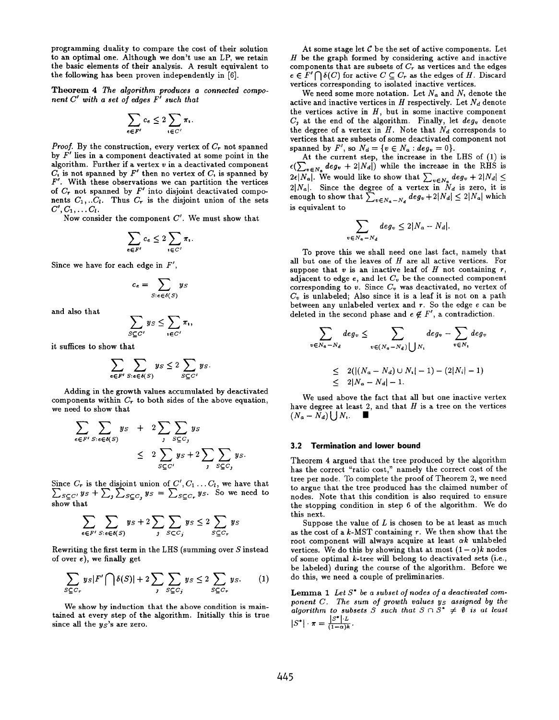programming duality to compare the cost of their solution to an optimal one. Although we don't use an LP, we retain the basic elements of their analysis. A result equivalent to the following has been proven independently in [6].

Theorem 4 The algorithm produces a connected component  $C'$  with a set of edges  $F'$  such that

$$
\sum_{e \in F'} c_e \leq 2 \sum_{i \in C'} \pi_i.
$$

*Proof.* By the construction, every vertex of  $C_r$  not spanned by  $F'$  lies in a component deactivated at some point in the algorithm. Further if a vertex  $v$  in a deactivated component  $C_i$  is not spanned by  $F'$  then no vertex of  $C_i$  is spanned by  $F'$ . With these observations we can partition the vertice of  $C_r$  not spanned by  $F'$  into disjoint deactivated comp nents  $C_1, ... C_l$ . Thus  $C_r$  is the disjoint union of the sets  $C', C_1, \ldots C_l.$ 

Now consider the component  $C'$ . We must show that

$$
\sum_{e \in F'} c_e \leq 2 \sum_{v \in C'} \pi_v.
$$

Since we have for each edge in  $F'$ ,

$$
c_e = \sum_{S: e \in \delta(S)} y_S
$$

and also that

$$
\sum_{S \subseteq C'} y_S \leq \sum_{v \in C'} \pi_v
$$

it suffices to show that

$$
\sum_{e \in F'} \sum_{S: e \in \delta(S)} y_S \le 2 \sum_{S \subseteq C'} y_S.
$$

Adding in the erowth values accumulated bv deactivated components within  $C_r$  to both sides of the above equation we need to show that

$$
\sum_{e \in F'} \sum_{S: e \in \delta(S)} y_S + 2 \sum_{j} \sum_{S \subseteq C_j} y_S
$$
\n
$$
\leq 2 \sum_{S \subseteq C'} y_S + 2 \sum_{j} \sum_{S \subseteq C_j} y_S
$$

Since  $C_r$  is the disjoint union of  $C', C_1 \ldots C_l$ , we have that  $\mathcal{L}_{SCC}$ ,  $ys + \mathcal{L}_1 \mathcal{L}_{SCC}$ ,  $ys = \mathcal{L}_{SCC}$ ,  $ys$ . So we need to show that

$$
\sum_{e \in F'} \sum_{S: e \in \delta(S)} y_S + 2 \sum_{j} \sum_{S \subset C_j} y_S \le 2 \sum_{S \subseteq C_r} y_S
$$

Rewriting the first term in the LHS (summing over S instead of over e), we finally get

$$
\sum_{S \subseteq C_r} y_S |F' \bigcap \delta(S)| + 2 \sum_{j} \sum_{S \subseteq C_j} y_S \le 2 \sum_{S \subseteq C_r} y_S. \tag{1}
$$

We show by induction that the above condition is maintained at every step of the algorithm. Initially this is true since all the  $y_s$ 's are zero.

At some stage let  $C$  be the set of active components. Let  $H$  be the graph formed by considering active and inactive components that are subsets of  $C_r$  as vertices and the edges  $e \in F' \bigcap \delta(C)$  for active  $C \subseteq C_r$  as the edges of H. Discard vertices corresponding to isolated inactive vertices.

We need some more notation. Let  $N_a$  and N, denote the active and inactive vertices in H respectively. Let  $N_d$  denote the vertices active in  $H$ , but in some inactive component  $C_i$  at the end of the algorithm. Finally, let  $deg_v$  denote the degree of a vertex in  $H$ . Note that  $N_d$  corresponds to vertices that are subsets of some deactivated component not spanned by  $F'$ , so  $N_d = \{v \in N_a : deg_v = 0\}.$ 

At the current step, the increase in the LHS of (1) is  $\epsilon(\sum_{v \in N_a} deg_v + 2|N_d|)$  while the increase in the RHS is  $2\epsilon|N_a|$ . We would like to show that  $\sum_{v\in N} deg_v + 2|N_d| \le$  $2|N_a|$ . Since the degree of a vertex in  $N_d$  is zero, it is enough to show that  $\sum_{u \in N} a_{u} e g_v + 2|N_d| \leq 2|N_a|$  which is equivalent to

$$
\sum_{j \in N_a - N_d} deg_v \leq 2|N_a - N_d|.
$$

To prove this we shall need one last fact, namely that all but one of the leaves of  $H$  are all active vertices. For suppose that  $v$  is an inactive leaf of  $H$  not containing  $r$ , adjacent to edge  $e$ , and let  $C_v$  be the connected component corresponding to  $v$ . Since  $C_v$  was deactivated, no vertex of  $C_v$  is unlabeled; Also since it is a leaf it is not on a path between any unlabeled vertex and  $r$ . So the edge  $e$  can be deleted in the second phase and  $e \notin F'$ , a contradiction.

$$
\sum_{v \in N_a - N_d} deg_v \leq \sum_{v \in (N_a - N_d)} deg_v - \sum_{v \in N_t} deg_v
$$
  

$$
\leq 2(|(N_a - N_d) \cup N_t| - 1) - (2|N_t| - 1)
$$
  

$$
\leq 2|N_a - N_d| - 1.
$$

We used above the fact that all but one inactive vertex have degree at least 2, and that  $H$  is a tree on the vertices  $(N_a-N_d)\bigcup N_i$ .

#### 3.2 Termination and lower bound

 $\boldsymbol{v}$ 

Theorem 4 argued that the tree produced by the algorithm has the correct "ratio cost," namely the correct cost of the tree per node. To complete the proof of Theorem 2, we need to argue that the tree produced has the claimed number of nodes. Note that this condition is also required to ensure the stopping condition in step 6 of the algorithm. We do this next.

Suppose the value of  $L$  is chosen to be at least as much as the cost of a  $k$ -MST containing  $r$ . We then show that the root component will always acquire at least  $\alpha k$  unlabeled vertices. We do this by showing that at most  $(1-\alpha)k$  nodes of some optimal k-tree will belong to deactivated sets (i.e., be labeled) during the course of the algorithm. Before we do this, we need a couple of preliminaries.

**Lemma 1** Let  $S^*$  be a subset of nodes of a deactivated component  $C$ . The sum of growth values  $y_S$  assigned by the algorithm to subsets S such that  $S \cap \tilde{S}^* \neq \emptyset$  is at least  $|S^*| \cdot \pi = \frac{|S^*| \cdot L}{(1-\alpha)k}$ .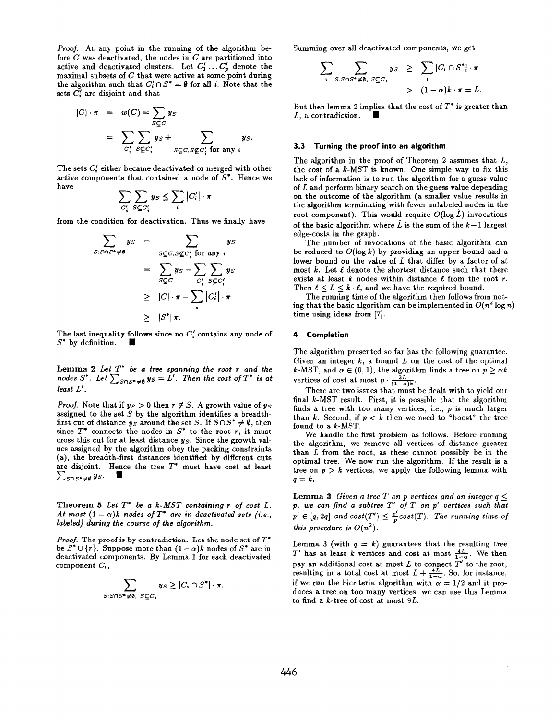Proof. At any point in the running of the algorithm before  $C$  was deactivated, the nodes in  $C$  are partitioned into active and deactivated clusters. Let  $C'_1 \dots C'_p$  denote the maximal subsets of  $C$  that were active at some point during the algorithm such that  $C'_i \cap S^* = \emptyset$  for all i. Note that the sets  $C_i'$  are disjoint and that

$$
|C| \cdot \pi = w(C) = \sum_{S \subseteq C} y_S
$$
  
= 
$$
\sum_{C'_i} \sum_{S \subseteq C'_i} y_S + \sum_{S \subseteq C, S \not\subseteq C'_i \text{ for any } i} y_S.
$$

The sets  $C'$  either became deactivated or merged with other active components that contained a node of  $S^*$ . Hence we have

$$
\sum_{C_i'}\sum_{S\subseteq C_i'}y_S\leq \sum_i|C_i'|\cdot\pi
$$

from the condition for deactivation. Thus we finally have

$$
\sum_{S: S \cap S^* \neq \emptyset} y_S = \sum_{S \subseteq C, S \not\subseteq C'_i \text{ for any } i} y_S
$$

$$
= \sum_{S \subseteq C} y_S - \sum_{C'_i} \sum_{S \subseteq C'_i} y_S
$$

$$
\geq |C| \cdot \pi - \sum_{i} |C'_i| \cdot \pi
$$

$$
\geq |S^*| \pi.
$$

The last inequality follows since no  $C'$  contains any node of  $S^*$  by definition.  $\blacksquare$ 

**Lemma 2** Let  $T^*$  be a tree spanning the root r and the nodes S<sup>\*</sup>. Let  $\sum_{S\cap S^*\neq \emptyset} y_S = L'$ . Then the cost of  $T^*$  is at least L',

*Proof.* Note that if  $y_S > 0$  then  $r \notin S$ . A growth value of  $y_S$ assigned to the set  $S$  by the algorithm identifies a breadthfirst cut of distance  $y_S$  around the set S. If  $S \cap S^* \neq \emptyset$ , then since  $T^*$  connects the nodes in  $S^*$  to the root r, it must cross this cut for at least distance  $y_S$ . Since the growth values assigned by the algorithm obey the packing constraints (a), the breadth-first distances identified by different cuts are disjoint. Hence the tree  $T^*$  must have cost at least  $\sum_{S\cap S^* \neq \emptyset} y_{S}.$ 

Theorem 5 Let  $T^*$  be a k-MST containing r of cost  $L$ . At most  $(1 - \alpha)k$  nodes of  $T^*$  are in deactivated sets (i.e., labeled) during the course of the algorithm.

Proof. The proof is by contradiction. Let the node set of  $T^*$ be  $S^* \cup \{r\}$ . Suppose more than  $(1 - \alpha)k$  nodes of  $S^*$  are in deactivated components. By Lemma 1 for each deactivated component  $C_i$ ,

$$
\sum_{S: S\cap S^* \neq \emptyset, S \subseteq C_1} y_S \geq |C_1 \cap S^*| \cdot \pi.
$$

Summing over all deactivated components, we get

$$
\sum_{\mathbf{S}} \sum_{S.S\cap S^* \neq \emptyset, S \subseteq C_{\mathbf{S}}} y_S \geq \sum_{\mathbf{S}} |C_{\mathbf{S}} \cap S^*| \cdot \pi
$$
  
>  $(1-\alpha)k \cdot \pi = L.$ 

But then lemma 2 implies that the cost of  $T^*$  is greater than L, a contradiction.

### 3.3 Turning the proof into an algorithm

The algorithm in the proof of Theorem 2 assumes that  $L$ , the cost of a  $k$ -MST is known. One simple way to fix this lack of information is to run the algorithm for a guess value of L and perform binary search on the guess value depending on the outcome of the algorithm (a smaller value results in the algorithm terminating with fewer unlabeled nodes in the root component). This would require  $O(\log \tilde{L})$  invocations of the basic algorithm where  $\tilde{L}$  is the sum of the  $k-1$  largest edge-costs in the graph.

The number of invocations of the basic algorithm can be reduced to  $O(\log k)$  by providing an upper bound and a lower bound on the value of  $L$  that differ by a factor of at most  $k$ . Let  $\ell$  denote the shortest distance such that there exists at least k nodes within distance  $\ell$  from the root r. Then  $\ell \leq L \leq k \cdot \ell$ , and we have the required bound.

The running time of the algorithm then follows from noting that the basic algorithm can be implemented in  $O(n^2 \log n)$ time using ideas from [7].

# 4 Completion

The algorithm presented so far has the following guarantee. Given an integer  $k$ , a bound  $L$  on the cost of the optimal k-MST, and  $\alpha \in (0, 1)$ , the algorithm finds a tree on  $p \geq \alpha k$ vertices of cost at most  $p \cdot \tau_{\tau}$ 

There are two issues that must be dealt with to yield our final k-MST result. First, it is possible that the algorithm finds a tree with too many vertices; i.e., p is much larger than  $k$ . Second, if  $p < k$  then we need to "boost" the tree found to a k-MST.

We handle the first problem as follows. Before running the algorithm, we remove all vertices of distance greater than  $L$  from the root, as these cannot possibly be in the optimal tree. We now run the algorithm. If the result is a tree on  $p > k$  vertices, we apply the following lemma with  $q=k$ .

Lemma 3 Given a tree T on p vertices and an integer  $q \leq$  $p$ , we can find a subtree  $T'$  of  $T$  on  $p'$  vertices such the  $p' \in [q, 2q]$  and  $cost(T') \leq \frac{p}{c}cost(T)$ . The running time of this procedure is  $O(n^2)$ 

Lemma 3 (with  $q = k$ ) guarantees that the resulting tree  $T'$  has at least k vertices and cost at most  $\frac{4L}{1-\alpha}$ . We then pay an additional cost at most  $L$  to connect  $T'$  to the root resulting in a total cost at most  $L + \frac{4L}{100}$ . So, for instance if we run the bicriteria algorithm with  $\alpha = 1/2$  and it produces a tree on too many vertices, we can use this Lemma to find a  $k$ -tree of cost at most  $9L$ .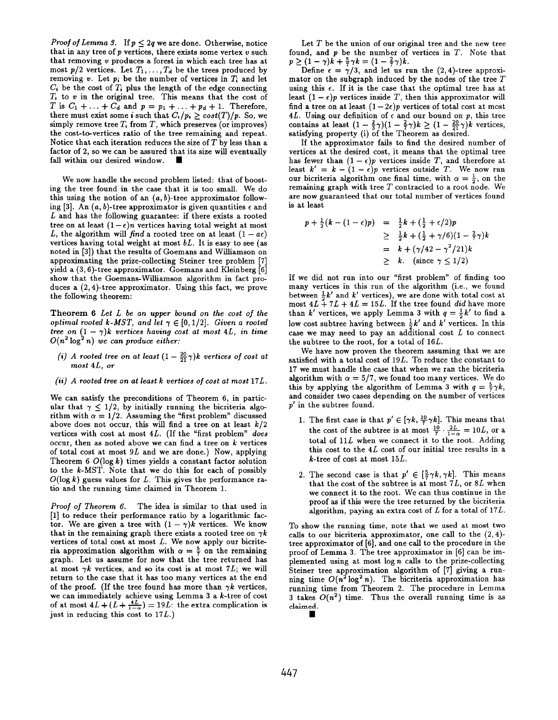*Proof of Lemma 3.* If  $p \leq 2q$  we are done. Otherwise, notice that in any tree of  $p$  vertices, there exists some vertex  $v$  such that removing  $v$  produces a forest in which each tree has at most  $p/2$  vertices. Let  $T_1, \ldots, T_d$  be the trees produced by removing v. Let  $p_i$  be the number of vertices in  $T_i$  and let  $C_i$  be the cost of  $T_i$  plus the length of the edge connecting  $T<sub>t</sub>$  to  $v$  in the original tree. This means that the cost of T is  $C_1 + \ldots + C_d$  and  $p = p_1 + \ldots + p_d + 1$ . Therefor there must exist some i such that  $C_i/p_i > cost(T)/p$ . So, we simply remove tree  $T_t$  from  $T$ , which preserves (or improves) the cost-to-vertices ratio of the tree remaining and repeat. Notice that each iteration reduces the size of  $T$  by less than a factor of 2, so we can be assured that its size will eventually fall within our desired window.

We now handle the second problem listed: that of boosting the tree found in the case that it is too small. We do this using the notion of an  $(a, b)$ -tree approximator following [3]. An  $(a, b)$ -tree approximator is given quantities  $\epsilon$  and L and has the following guarantee: if there exists a rooted tree on at least  $(1 - \epsilon)n$  vertices having total weight at most L, the algorithm will find a rooted tree on at least  $(1 - a\epsilon)$ vertices having total weight at most  $bL$ . It is easy to see (as noted in [3]) that the results of Goemans and Williamson on approximating the prize-collecting Steiner tree problem [7] yield a (3, 6)-tree approximator. Goemans and Klein berg [6] show that the Goemans-Williamson algorithm in fact produces a (2, 4)-tree approximator. Using this fact, we prove the following theorem:

Theorem 6 Let L be an upper bound on the cost of the optimal rooted k-MST, and let  $\gamma \in [0, 1/2]$ . Given a rooted tree on  $(1 - \gamma)k$  vertices having cost at most 4L, in time  $O(n^2 \log^2 n)$  we can produce either:  $O(n^2 \log^2 n)$  we can produce either

- (i) A rooted tree on at least  $(1 \frac{20}{21}\gamma)k$  vertices of cost at most 4L, or
- (ii) A rooted tree on at least k vertices of cost at most 17L.

We can satisfy the preconditions of Theorem 6, in particular that  $\gamma \leq 1/2$ , by initially running the bicriteria algorithm with  $\alpha = 1/2$ . Assuming the "first problem" discussed above does not occur, this will find a tree on at least  $k/2$ vertices with cost at most 4L. (If the "first problem" does occur, then as noted above we can find a tree on  $k$  vertices of total cost at most  $9L$  and we are done.) Now, applying Theorem 6  $O(\log k)$  times yields a constant factor solution to the  $k$ -MST. Note that we do this for each of possibly  $O(\log k)$  guess values for L. This gives the performance ratio and the running time claimed in Theorem 1.

Proof of Theorem 6. The idea is similar to that used in [I] to reduce their performance ratio by a logarithmic factor. We are given a tree with  $(1 - \gamma)k$  vertices. We know that in the remaining graph there exists a rooted tree on  $\gamma k$ vertices of total cost at most  $L$ . We now apply our bicriteria approximation algorithm with  $\alpha = \frac{5}{7}$  on the remaining graph. Let us aasume for now that the tree returned has at most  $\gamma k$  vertices, and so its cost is at most 7L; we will return to the case that it has too many vertices at the end of the proof. (If the tree found has more than  $\gamma k$  vertices, we can immediately achieve using Lemma 3 a k-tree of cost of at most  $4L + (L + \frac{4L}{1-\alpha}) = 19L$ : the extra complication is just in reducing this cost to  $17L$ .)

Let  $T$  be the union of our original tree and the new tree found, and  $p$  be the number of vertices in  $T$ . Note that  $p \geq (1 - \gamma)k + \frac{1}{7}\gamma k = (1 - \frac{2}{7}\gamma)$ 

Define  $\epsilon = \gamma/3$ , and let us run the (2,4)-tree approx mator on the subgraph induced by the nodes of the tree  $T$ using this  $\epsilon$ . If it is the case that the optimal tree has at least  $(1 - \epsilon)p$  vertices inside T, then this approximator will find a tree on at least  $(1-2\epsilon)p$  vertices of total cost at most 4L. Using our definition of  $\epsilon$  and our bound on p, this tree contains at least  $(1 - \frac{2}{3}\gamma)(1 - \frac{2}{7}\gamma)k \geq (1 - \frac{20}{21}\gamma)k$  vertice satisfying property (i) of the Theorem as desired.

If the approximator fails to find the desired number of vertices at the desired cost, it means that the optimal tree has fewer than  $(1 - \epsilon)p$  vertices inside T, and therefore at least  $k' = k - (1 - \epsilon)p$  vertices outside T. We now run our bicriteria algorithm one final time, with  $\alpha = \frac{1}{2}$ , on the remaining graph with tree  $T$  contracted to a root node. We are now guaranteed that onr total number of vertices found is at least

$$
p + \frac{1}{2}(k - (1 - \epsilon)p) = \frac{1}{2}k + (\frac{1}{2} + \epsilon/2)p
$$
  
\n
$$
\geq \frac{1}{2}k + (\frac{1}{2} + \gamma/6)(1 - \frac{2}{7}\gamma)k
$$
  
\n
$$
= k + (\gamma/42 - \gamma^2/21)k
$$
  
\n
$$
> k. \text{ (since } \gamma \leq 1/2)
$$

If we did not run into our "first problem" of finding too many vertices in this run of the algorithm (i.e., we found between  $\frac{1}{2}k'$  and  $k'$  vertices), we are done with total cost at most  $4L + 7L + 4L = 15L$ . If the tree found did have more than k' vertices, we apply Lemma 3 with  $q = \frac{1}{2}k'$  to find a low cost subtree having between  $\frac{1}{2}k'$  and  $k'$  vertices. In this case we may need to pay an additional cost  $L$  to connect the subtree to the root, for a total of 16L.

We have now proven the theorem assuming that we are satisfied with a total cost of  $19L$ . To reduce the constant to 17 we must handle the case that when we ran the bicriteria algorithm with  $\alpha = 5/7$ , we found too many vertices. We do this by applying the algorithm of Lemma 3 with  $q = \frac{5}{7}\gamma k$ , and consider two cases depending on the number of vertices p' in the subtree found.

- 1. The first case is that  $p' \in [\gamma k, \frac{11}{2}\gamma k]$ . This means the the cost of the subtree is at most  $\frac{12}{7} \cdot \frac{12}{12} = 10L$ , or a total of  $11L$  when we connect it to the root. Adding this cost to the 4L cost of our initial tree results in a k-tree of cost at most 15L.
- 2. The second case is that  $p' \in [\frac{1}{2}\gamma k, \gamma k]$ . This mean that the cost of the subtree is at most  $7L$ , or  $8L$  when we connect it to the root. We can thus continue in the proof as if this were the tree returned by the bicriteria algorithm, paying an extra cost of  $L$  for a total of  $17L$ .

To show the running time, note that we used at most two calls to our bicriteria approximator, one call to the  $(2, 4)$ tree approximator of [6], and one call to the procedure in the proof of Lemma 3. The tree approximator in [6] can be implemented using at most  $log n$  calls to the prize-collecting Steiner tree approximation algorithm of [7] giving a running time  $O(n^2 \log^2 n)$ . The bicriteria approximation has running time from Theorem 2. The procedure in Lemma 3 takes  $O(n^2)$  time. Thus the overall running time is as claimed. ■